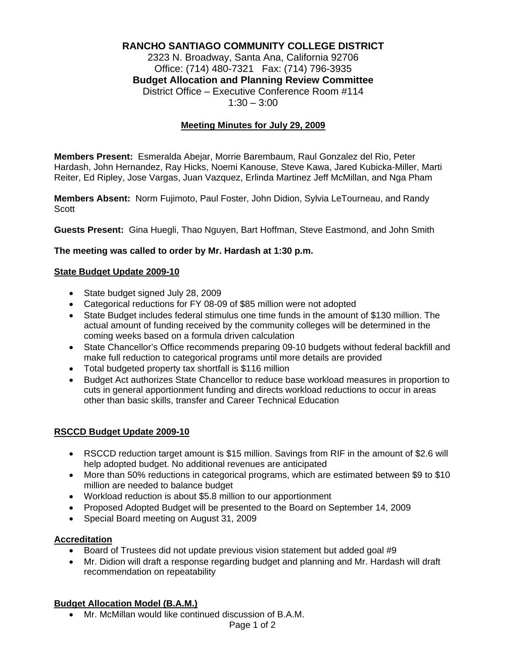# **RANCHO SANTIAGO COMMUNITY COLLEGE DISTRICT**

2323 N. Broadway, Santa Ana, California 92706 Office: (714) 480-7321 Fax: (714) 796-3935 **Budget Allocation and Planning Review Committee** District Office – Executive Conference Room #114  $1:30 - 3:00$ 

#### **Meeting Minutes for July 29, 2009**

**Members Present:** Esmeralda Abejar, Morrie Barembaum, Raul Gonzalez del Rio, Peter Hardash, John Hernandez, Ray Hicks, Noemi Kanouse, Steve Kawa, Jared Kubicka-Miller, Marti Reiter, Ed Ripley, Jose Vargas, Juan Vazquez, Erlinda Martinez Jeff McMillan, and Nga Pham

**Members Absent:** Norm Fujimoto, Paul Foster, John Didion, Sylvia LeTourneau, and Randy **Scott** 

**Guests Present:** Gina Huegli, Thao Nguyen, Bart Hoffman, Steve Eastmond, and John Smith

#### **The meeting was called to order by Mr. Hardash at 1:30 p.m.**

#### **State Budget Update 2009-10**

- State budget signed July 28, 2009
- Categorical reductions for FY 08-09 of \$85 million were not adopted
- State Budget includes federal stimulus one time funds in the amount of \$130 million. The actual amount of funding received by the community colleges will be determined in the coming weeks based on a formula driven calculation
- State Chancellor's Office recommends preparing 09-10 budgets without federal backfill and make full reduction to categorical programs until more details are provided
- Total budgeted property tax shortfall is \$116 million
- Budget Act authorizes State Chancellor to reduce base workload measures in proportion to cuts in general apportionment funding and directs workload reductions to occur in areas other than basic skills, transfer and Career Technical Education

### **RSCCD Budget Update 2009-10**

- RSCCD reduction target amount is \$15 million. Savings from RIF in the amount of \$2.6 will help adopted budget. No additional revenues are anticipated
- More than 50% reductions in categorical programs, which are estimated between \$9 to \$10 million are needed to balance budget
- Workload reduction is about \$5.8 million to our apportionment
- Proposed Adopted Budget will be presented to the Board on September 14, 2009
- Special Board meeting on August 31, 2009

#### **Accreditation**

- Board of Trustees did not update previous vision statement but added goal #9
- Mr. Didion will draft a response regarding budget and planning and Mr. Hardash will draft recommendation on repeatability

### **Budget Allocation Model (B.A.M.)**

• Mr. McMillan would like continued discussion of B.A.M.